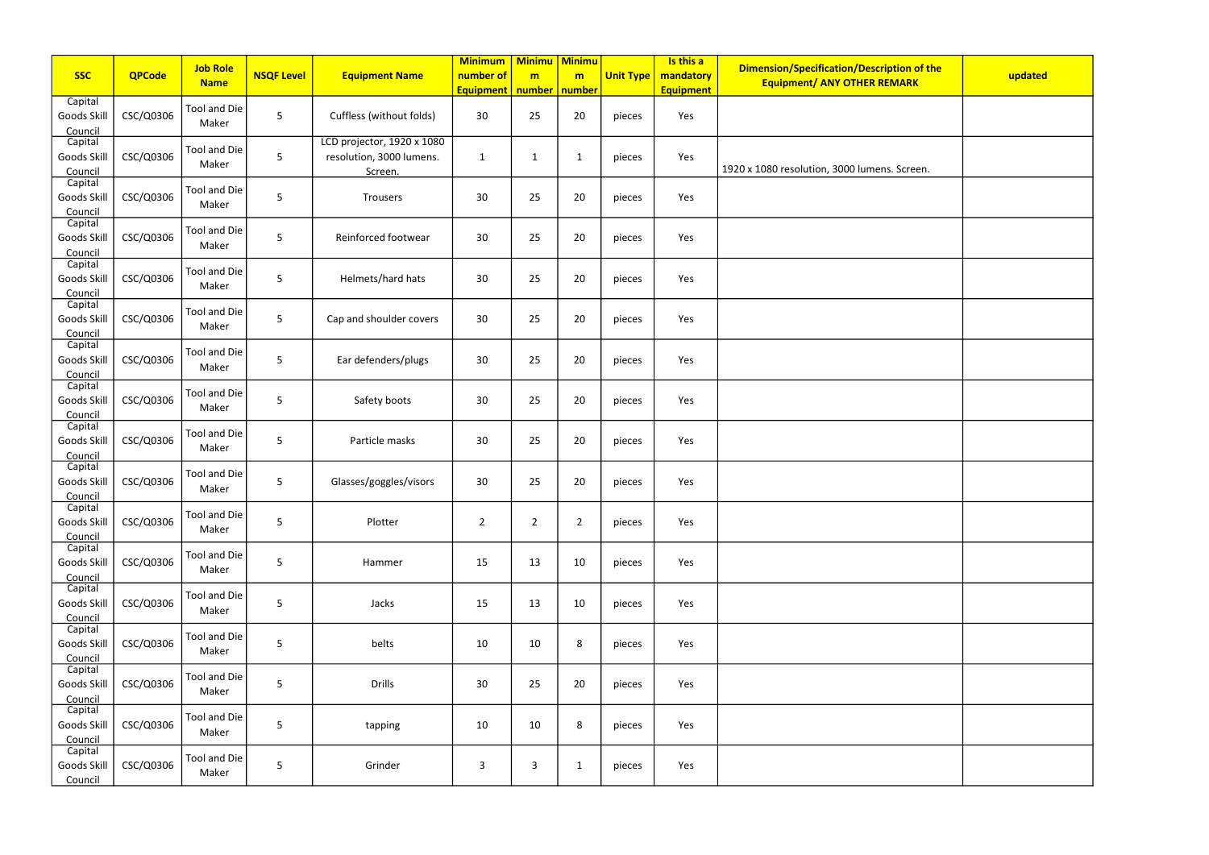|                                   |               | <b>Job Role</b>       |                   |                                                                   | <b>Minimum</b>                | Minimu   Minimu      |                |                  | Is this a                     | Dimension/Specification/Description of the   |         |
|-----------------------------------|---------------|-----------------------|-------------------|-------------------------------------------------------------------|-------------------------------|----------------------|----------------|------------------|-------------------------------|----------------------------------------------|---------|
| <b>SSC</b>                        | <b>QPCode</b> | <b>Name</b>           | <b>NSQF Level</b> | <b>Equipment Name</b>                                             | number of<br><b>Equipment</b> | m<br>number   number | m              | <b>Unit Type</b> | mandatory<br><b>Equipment</b> | <b>Equipment/ ANY OTHER REMARK</b>           | updated |
| Capital<br>Goods Skill<br>Council | CSC/Q0306     | Tool and Die<br>Maker | 5                 | Cuffless (without folds)                                          | 30                            | 25                   | 20             | pieces           | Yes                           |                                              |         |
| Capital<br>Goods Skill<br>Council | CSC/Q0306     | Tool and Die<br>Maker | 5                 | LCD projector, 1920 x 1080<br>resolution, 3000 lumens.<br>Screen. | 1                             | $\mathbf{1}$         | $\mathbf 1$    | pieces           | Yes                           | 1920 x 1080 resolution, 3000 lumens. Screen. |         |
| Capital<br>Goods Skill<br>Council | CSC/Q0306     | Tool and Die<br>Maker | 5                 | Trousers                                                          | 30                            | 25                   | 20             | pieces           | Yes                           |                                              |         |
| Capital<br>Goods Skill<br>Council | CSC/Q0306     | Tool and Die<br>Maker | 5                 | Reinforced footwear                                               | 30                            | 25                   | 20             | pieces           | Yes                           |                                              |         |
| Capital<br>Goods Skill<br>Council | CSC/Q0306     | Tool and Die<br>Maker | 5                 | Helmets/hard hats                                                 | 30                            | 25                   | 20             | pieces           | Yes                           |                                              |         |
| Capital<br>Goods Skill<br>Council | CSC/Q0306     | Tool and Die<br>Maker | 5                 | Cap and shoulder covers                                           | 30                            | 25                   | 20             | pieces           | Yes                           |                                              |         |
| Capital<br>Goods Skill<br>Council | CSC/Q0306     | Tool and Die<br>Maker | 5                 | Ear defenders/plugs                                               | 30                            | 25                   | 20             | pieces           | Yes                           |                                              |         |
| Capital<br>Goods Skill<br>Council | CSC/Q0306     | Tool and Die<br>Maker | 5                 | Safety boots                                                      | 30                            | 25                   | 20             | pieces           | Yes                           |                                              |         |
| Capital<br>Goods Skill<br>Council | CSC/Q0306     | Tool and Die<br>Maker | 5                 | Particle masks                                                    | 30                            | 25                   | 20             | pieces           | Yes                           |                                              |         |
| Capital<br>Goods Skill<br>Council | CSC/Q0306     | Tool and Die<br>Maker | 5                 | Glasses/goggles/visors                                            | 30                            | 25                   | 20             | pieces           | Yes                           |                                              |         |
| Capital<br>Goods Skill<br>Council | CSC/Q0306     | Tool and Die<br>Maker | 5                 | Plotter                                                           | $\overline{2}$                | $\overline{2}$       | $\overline{2}$ | pieces           | Yes                           |                                              |         |
| Capital<br>Goods Skill<br>Council | CSC/Q0306     | Tool and Die<br>Maker | 5                 | Hammer                                                            | 15                            | 13                   | 10             | pieces           | Yes                           |                                              |         |
| Capital<br>Goods Skill<br>Council | CSC/Q0306     | Tool and Die<br>Maker | 5                 | Jacks                                                             | 15                            | 13                   | 10             | pieces           | Yes                           |                                              |         |
| Capital<br>Goods Skill<br>Council | CSC/Q0306     | Tool and Die<br>Maker | 5                 | belts                                                             | 10                            | 10                   | 8              | pieces           | Yes                           |                                              |         |
| Capital<br>Goods Skill<br>Council | CSC/Q0306     | Tool and Die<br>Maker | 5                 | <b>Drills</b>                                                     | 30                            | 25                   | 20             | pieces           | Yes                           |                                              |         |
| Capital<br>Goods Skill<br>Council | CSC/Q0306     | Tool and Die<br>Maker | 5                 | tapping                                                           | 10                            | 10                   | 8              | pieces           | Yes                           |                                              |         |
| Capital<br>Goods Skill<br>Council | CSC/Q0306     | Tool and Die<br>Maker | 5                 | Grinder                                                           | 3                             | $\overline{3}$       | $\mathbf{1}$   | pieces           | Yes                           |                                              |         |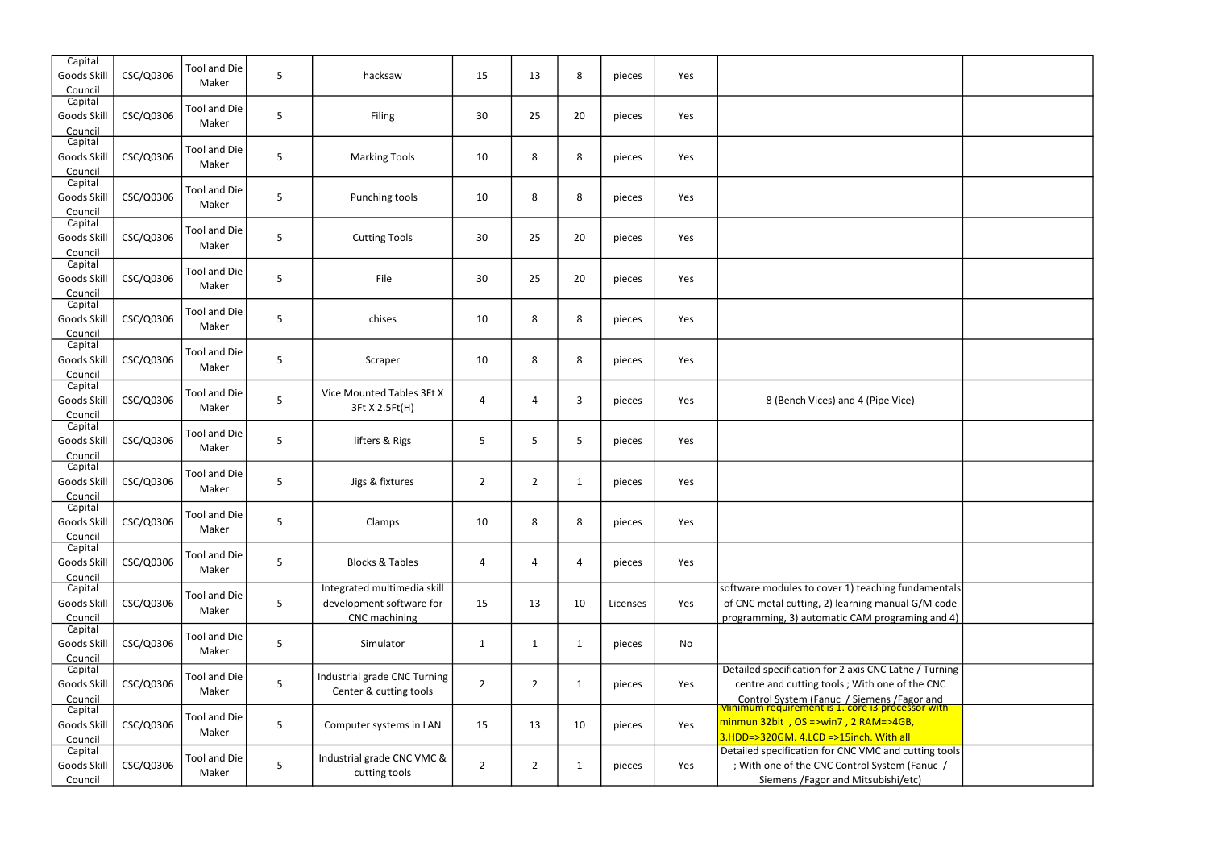| Capital<br>Goods Skill<br>Council | CSC/Q0306 | <b>Tool and Die</b><br>Maker | 5 | hacksaw                                                                  | 15             | 13             | $\,8\,$        | pieces   | Yes |                                                                                                                                                            |
|-----------------------------------|-----------|------------------------------|---|--------------------------------------------------------------------------|----------------|----------------|----------------|----------|-----|------------------------------------------------------------------------------------------------------------------------------------------------------------|
| Capital<br>Goods Skill<br>Council | CSC/Q0306 | <b>Tool and Die</b><br>Maker | 5 | Filing                                                                   | 30             | 25             | 20             | pieces   | Yes |                                                                                                                                                            |
| Capital<br>Goods Skill<br>Council | CSC/Q0306 | <b>Tool and Die</b><br>Maker | 5 | <b>Marking Tools</b>                                                     | 10             | 8              | 8              | pieces   | Yes |                                                                                                                                                            |
| Capital<br>Goods Skill<br>Council | CSC/Q0306 | <b>Tool and Die</b><br>Maker | 5 | Punching tools                                                           | 10             | 8              | 8              | pieces   | Yes |                                                                                                                                                            |
| Capital<br>Goods Skill<br>Council | CSC/Q0306 | <b>Tool and Die</b><br>Maker | 5 | <b>Cutting Tools</b>                                                     | 30             | 25             | 20             | pieces   | Yes |                                                                                                                                                            |
| Capital<br>Goods Skill<br>Council | CSC/Q0306 | <b>Tool and Die</b><br>Maker | 5 | File                                                                     | 30             | 25             | 20             | pieces   | Yes |                                                                                                                                                            |
| Capital<br>Goods Skill<br>Council | CSC/Q0306 | <b>Tool and Die</b><br>Maker | 5 | chises                                                                   | 10             | 8              | 8              | pieces   | Yes |                                                                                                                                                            |
| Capital<br>Goods Skill<br>Council | CSC/Q0306 | <b>Tool and Die</b><br>Maker | 5 | Scraper                                                                  | 10             | 8              | 8              | pieces   | Yes |                                                                                                                                                            |
| Capital<br>Goods Skill<br>Council | CSC/Q0306 | <b>Tool and Die</b><br>Maker | 5 | Vice Mounted Tables 3Ft X<br>3Ft X 2.5Ft(H)                              | 4              | 4              | $\overline{3}$ | pieces   | Yes | 8 (Bench Vices) and 4 (Pipe Vice)                                                                                                                          |
| Capital<br>Goods Skill<br>Council | CSC/Q0306 | <b>Tool and Die</b><br>Maker | 5 | lifters & Rigs                                                           | 5              | 5              | 5              | pieces   | Yes |                                                                                                                                                            |
| Capital<br>Goods Skill<br>Council | CSC/Q0306 | <b>Tool and Die</b><br>Maker | 5 | Jigs & fixtures                                                          | $\overline{2}$ | $\overline{2}$ | $\mathbf{1}$   | pieces   | Yes |                                                                                                                                                            |
| Capital<br>Goods Skill<br>Council | CSC/Q0306 | Tool and Die<br>Maker        | 5 | Clamps                                                                   | 10             | 8              | 8              | pieces   | Yes |                                                                                                                                                            |
| Capital<br>Goods Skill<br>Council | CSC/Q0306 | <b>Tool and Die</b><br>Maker | 5 | <b>Blocks &amp; Tables</b>                                               | 4              | 4              | $\overline{4}$ | pieces   | Yes |                                                                                                                                                            |
| Capital<br>Goods Skill<br>Council | CSC/Q0306 | <b>Tool and Die</b><br>Maker | 5 | Integrated multimedia skill<br>development software for<br>CNC machining | 15             | 13             | 10             | Licenses | Yes | software modules to cover 1) teaching fundamentals<br>of CNC metal cutting, 2) learning manual G/M code<br>programming, 3) automatic CAM programing and 4) |
| Capital<br>Goods Skill<br>Council | CSC/Q0306 | <b>Tool and Die</b><br>Maker | 5 | Simulator                                                                | 1              | 1              | 1              | pieces   | No  |                                                                                                                                                            |
| Capital<br>Goods Skill<br>Council | CSC/Q0306 | <b>Tool and Die</b><br>Maker | 5 | Industrial grade CNC Turning<br>Center & cutting tools                   | $\overline{2}$ | $\overline{2}$ | $\mathbf{1}$   | pieces   | Yes | Detailed specification for 2 axis CNC Lathe / Turning<br>centre and cutting tools ; With one of the CNC<br>Control System (Fanuc / Siemens / Fagor and     |
| Capital<br>Goods Skill<br>Council | CSC/Q0306 | <b>Tool and Die</b><br>Maker | 5 | Computer systems in LAN                                                  | 15             | 13             | 10             | pieces   | Yes | Minimum requirement is 1. core i3 processor with<br>$\frac{1}{2}$ minmun 32bit, OS =>win7, 2 RAM=>4GB,<br>3.HDD=>320GM. 4.LCD =>15inch. With all           |
| Capital<br>Goods Skill<br>Council | CSC/Q0306 | <b>Tool and Die</b><br>Maker | 5 | Industrial grade CNC VMC &<br>cutting tools                              | $\overline{2}$ | $\overline{2}$ | 1              | pieces   | Yes | Detailed specification for CNC VMC and cutting tools<br>; With one of the CNC Control System (Fanuc /<br>Siemens / Fagor and Mitsubishi/etc)               |

| d 4 (Pipe Vice)                                                                                                |  |
|----------------------------------------------------------------------------------------------------------------|--|
|                                                                                                                |  |
|                                                                                                                |  |
|                                                                                                                |  |
|                                                                                                                |  |
| .) teaching fundamentals<br>rning manual G/M code<br>CAM programing and 4)                                     |  |
|                                                                                                                |  |
| axis CNC Lathe / Turning<br>With one of the CNC<br>' Siemens /Fagor and<br><mark>core i3 processor with</mark> |  |
| $2$ RAM= $>4GB$ ,<br><mark>iinch. With all</mark>                                                              |  |
| IC VMC and cutting tools<br>ntrol System (Fanuc /<br>Mitsubishi/etc)                                           |  |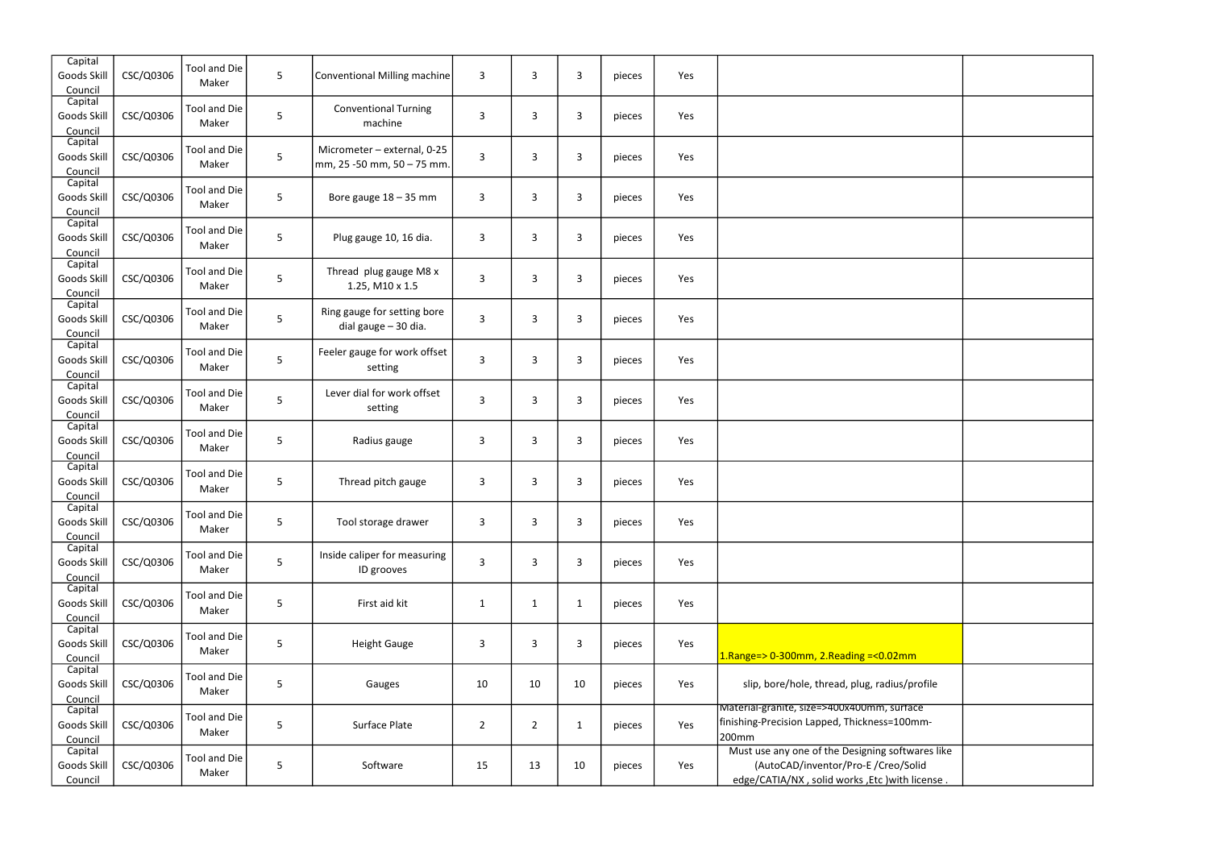| Capital<br>Goods Skill<br>Council | CSC/Q0306 | <b>Tool and Die</b><br>Maker | $\overline{5}$ | Conventional Milling machine                              | $\overline{3}$ | 3              | $\mathbf{3}$   | pieces | Yes |                                                                                                                                           |  |
|-----------------------------------|-----------|------------------------------|----------------|-----------------------------------------------------------|----------------|----------------|----------------|--------|-----|-------------------------------------------------------------------------------------------------------------------------------------------|--|
| Capital<br>Goods Skill<br>Council | CSC/Q0306 | <b>Tool and Die</b><br>Maker | 5              | <b>Conventional Turning</b><br>machine                    | 3              | 3              | $\overline{3}$ | pieces | Yes |                                                                                                                                           |  |
| Capital<br>Goods Skill<br>Council | CSC/Q0306 | Tool and Die<br>Maker        | $5\phantom{.}$ | Micrometer - external, 0-25<br>mm, 25 -50 mm, 50 - 75 mm. | $\overline{3}$ | 3              | $\overline{3}$ | pieces | Yes |                                                                                                                                           |  |
| Capital<br>Goods Skill<br>Council | CSC/Q0306 | <b>Tool and Die</b><br>Maker | $\overline{5}$ | Bore gauge $18 - 35$ mm                                   | $\overline{3}$ | 3              | $\overline{3}$ | pieces | Yes |                                                                                                                                           |  |
| Capital<br>Goods Skill<br>Council | CSC/Q0306 | <b>Tool and Die</b><br>Maker | 5              | Plug gauge 10, 16 dia.                                    | $\mathbf{3}$   | 3              | 3              | pieces | Yes |                                                                                                                                           |  |
| Capital<br>Goods Skill<br>Council | CSC/Q0306 | <b>Tool and Die</b><br>Maker | 5              | Thread plug gauge M8 x<br>1.25, M10 x 1.5                 | 3              | 3              | $\overline{3}$ | pieces | Yes |                                                                                                                                           |  |
| Capital<br>Goods Skill<br>Council | CSC/Q0306 | <b>Tool and Die</b><br>Maker | 5              | Ring gauge for setting bore<br>dial gauge - 30 dia.       | 3              | 3              | $\mathbf{3}$   | pieces | Yes |                                                                                                                                           |  |
| Capital<br>Goods Skill<br>Council | CSC/Q0306 | <b>Tool and Die</b><br>Maker | 5              | Feeler gauge for work offset<br>setting                   | $\overline{3}$ | 3              | $\overline{3}$ | pieces | Yes |                                                                                                                                           |  |
| Capital<br>Goods Skill<br>Council | CSC/Q0306 | <b>Tool and Die</b><br>Maker | 5              | Lever dial for work offset<br>setting                     | 3              | 3              | $\overline{3}$ | pieces | Yes |                                                                                                                                           |  |
| Capital<br>Goods Skill<br>Council | CSC/Q0306 | <b>Tool and Die</b><br>Maker | 5              | Radius gauge                                              | 3              | 3              | $\mathbf{3}$   | pieces | Yes |                                                                                                                                           |  |
| Capital<br>Goods Skill<br>Council | CSC/Q0306 | <b>Tool and Die</b><br>Maker | 5              | Thread pitch gauge                                        | 3              | 3              | 3              | pieces | Yes |                                                                                                                                           |  |
| Capital<br>Goods Skill<br>Council | CSC/Q0306 | <b>Tool and Die</b><br>Maker | 5              | Tool storage drawer                                       | 3              | 3              | 3              | pieces | Yes |                                                                                                                                           |  |
| Capital<br>Goods Skill<br>Council | CSC/Q0306 | <b>Tool and Die</b><br>Maker | 5              | Inside caliper for measuring<br>ID grooves                | $\overline{3}$ | 3              | $\mathbf{3}$   | pieces | Yes |                                                                                                                                           |  |
| Capital<br>Goods Skill<br>Council | CSC/Q0306 | <b>Tool and Die</b><br>Maker | 5              | First aid kit                                             | $\mathbf{1}$   | $\mathbf{1}$   | $\mathbf{1}$   | pieces | Yes |                                                                                                                                           |  |
| Capital<br>Goods Skill<br>Council | CSC/Q0306 | <b>Tool and Die</b><br>Maker | 5              | <b>Height Gauge</b>                                       | 3              | 3              | 3              | pieces | Yes | $1.$ Range=> 0-300mm, 2.Reading =< 0.02mm                                                                                                 |  |
| Capital<br>Goods Skill<br>Council | CSC/Q0306 | <b>Tool and Die</b><br>Maker | 5              | Gauges                                                    | 10             | 10             | 10             | pieces | Yes | slip, bore/hole, thread, plug, radius/profile                                                                                             |  |
| Capital<br>Goods Skill<br>Council | CSC/Q0306 | <b>Tool and Die</b><br>Maker | 5              | Surface Plate                                             | $\overline{2}$ | $\overline{2}$ | $\mathbf{1}$   | pieces | Yes | Material-granite, size=>400x400mm, surface<br>finishing-Precision Lapped, Thickness=100mm-<br>200mm                                       |  |
| Capital<br>Goods Skill<br>Council | CSC/Q0306 | <b>Tool and Die</b><br>Maker | 5              | Software                                                  | 15             | 13             | 10             | pieces | Yes | Must use any one of the Designing softwares like<br>(AutoCAD/inventor/Pro-E/Creo/Solid<br>edge/CATIA/NX, solid works, Etc ) with license. |  |
|                                   |           |                              |                |                                                           |                |                |                |        |     |                                                                                                                                           |  |

| $\overline{m}$                           |  |
|------------------------------------------|--|
| 'profile                                 |  |
| $\overline{ace}$<br>-mm                  |  |
| wares like<br>Solid<br><u>n license.</u> |  |